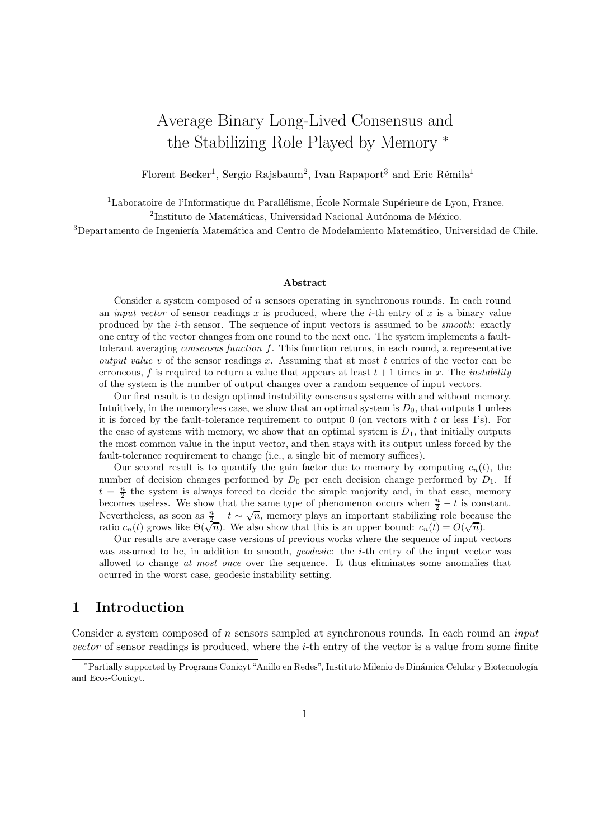# Average Binary Long-Lived Consensus and the Stabilizing Role Played by Memory <sup>∗</sup>

Florent Becker<sup>1</sup>, Sergio Rajsbaum<sup>2</sup>, Ivan Rapaport<sup>3</sup> and Eric Rémila<sup>1</sup>

 $1$ Laboratoire de l'Informatique du Parallélisme, École Normale Supérieure de Lyon, France.  $2$ Instituto de Matemáticas, Universidad Nacional Autónoma de México.

<sup>3</sup>Departamento de Ingeniería Matemática and Centro de Modelamiento Matemático, Universidad de Chile.

#### Abstract

Consider a system composed of  $n$  sensors operating in synchronous rounds. In each round an *input vector* of sensor readings x is produced, where the *i*-th entry of x is a binary value produced by the  $i$ -th sensor. The sequence of input vectors is assumed to be *smooth*: exactly one entry of the vector changes from one round to the next one. The system implements a faulttolerant averaging *consensus function*  $f$ . This function returns, in each round, a representative *output value v* of the sensor readings x. Assuming that at most t entries of the vector can be erroneous, f is required to return a value that appears at least  $t + 1$  times in x. The *instability* of the system is the number of output changes over a random sequence of input vectors.

Our first result is to design optimal instability consensus systems with and without memory. Intuitively, in the memoryless case, we show that an optimal system is  $D_0$ , that outputs 1 unless it is forced by the fault-tolerance requirement to output  $0$  (on vectors with t or less 1's). For the case of systems with memory, we show that an optimal system is  $D_1$ , that initially outputs the most common value in the input vector, and then stays with its output unless forced by the fault-tolerance requirement to change (i.e., a single bit of memory suffices).

Our second result is to quantify the gain factor due to memory by computing  $c_n(t)$ , the number of decision changes performed by  $D_0$  per each decision change performed by  $D_1$ . If  $t = \frac{n}{2}$  the system is always forced to decide the simple majority and, in that case, memory becomes useless. We show that the same type of phenomenon occurs when  $\frac{n}{2} - t$  is constant. Nevertheless, as soon as  $\frac{n}{2} - t \sim \sqrt{n}$ , memory plays an important stabilizing role because the ratio  $c_n(t)$  grows like  $\Theta(\sqrt{n})$ . We also show that this is an upper bound:  $c_n(t) = O(\sqrt{n})$ .

Our results are average case versions of previous works where the sequence of input vectors was assumed to be, in addition to smooth, *geodesic*: the *i*-th entry of the input vector was allowed to change at most once over the sequence. It thus eliminates some anomalies that ocurred in the worst case, geodesic instability setting.

## 1 Introduction

Consider a system composed of n sensors sampled at synchronous rounds. In each round an *input* vector of sensor readings is produced, where the *i*-th entry of the vector is a value from some finite

<sup>∗</sup>Partially supported by Programs Conicyt "Anillo en Redes", Instituto Milenio de Din´amica Celular y Biotecnolog´ıa and Ecos-Conicyt.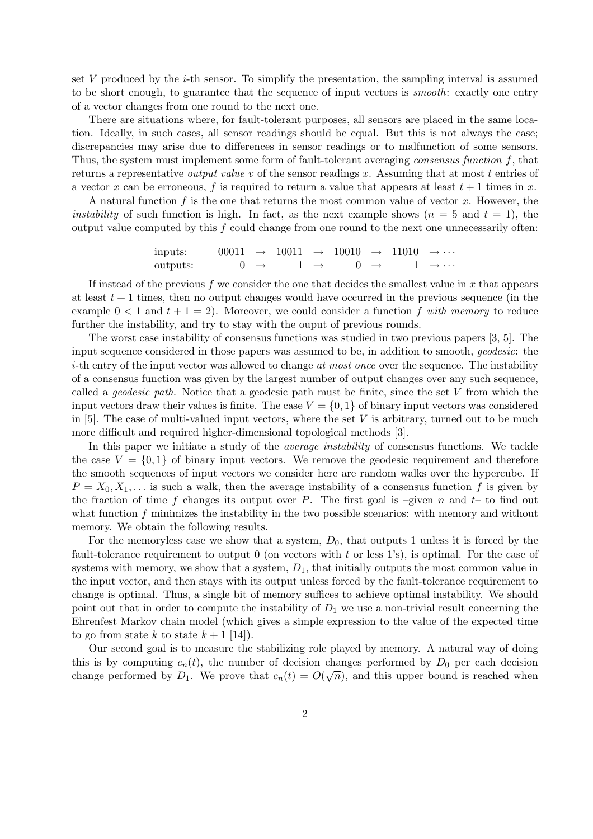set  $V$  produced by the  $i$ -th sensor. To simplify the presentation, the sampling interval is assumed to be short enough, to guarantee that the sequence of input vectors is smooth: exactly one entry of a vector changes from one round to the next one.

There are situations where, for fault-tolerant purposes, all sensors are placed in the same location. Ideally, in such cases, all sensor readings should be equal. But this is not always the case; discrepancies may arise due to differences in sensor readings or to malfunction of some sensors. Thus, the system must implement some form of fault-tolerant averaging *consensus function*  $f$ , that returns a representative *output value v* of the sensor readings x. Assuming that at most t entries of a vector x can be erroneous, f is required to return a value that appears at least  $t + 1$  times in x.

A natural function  $f$  is the one that returns the most common value of vector  $x$ . However, the *instability* of such function is high. In fact, as the next example shows  $(n = 5 \text{ and } t = 1)$ , the output value computed by this  $f$  could change from one round to the next one unnecessarily often:

inputs: 
$$
00011 \rightarrow 10011 \rightarrow 10010 \rightarrow 11010 \rightarrow \cdots
$$
  
outputs:  $0 \rightarrow 1 \rightarrow 0 \rightarrow 1 \rightarrow \cdots$ 

If instead of the previous f we consider the one that decides the smallest value in  $x$  that appears at least  $t + 1$  times, then no output changes would have occurred in the previous sequence (in the example  $0 < 1$  and  $t + 1 = 2$ ). Moreover, we could consider a function f with memory to reduce further the instability, and try to stay with the ouput of previous rounds.

The worst case instability of consensus functions was studied in two previous papers [3, 5]. The input sequence considered in those papers was assumed to be, in addition to smooth, geodesic: the  $i$ -th entry of the input vector was allowed to change at most once over the sequence. The instability of a consensus function was given by the largest number of output changes over any such sequence, called a geodesic path. Notice that a geodesic path must be finite, since the set V from which the input vectors draw their values is finite. The case  $V = \{0, 1\}$  of binary input vectors was considered in  $[5]$ . The case of multi-valued input vectors, where the set V is arbitrary, turned out to be much more difficult and required higher-dimensional topological methods [3].

In this paper we initiate a study of the *average instability* of consensus functions. We tackle the case  $V = \{0, 1\}$  of binary input vectors. We remove the geodesic requirement and therefore the smooth sequences of input vectors we consider here are random walks over the hypercube. If  $P = X_0, X_1, \ldots$  is such a walk, then the average instability of a consensus function f is given by the fraction of time f changes its output over P. The first goal is –given n and  $t-$  to find out what function  $f$  minimizes the instability in the two possible scenarios: with memory and without memory. We obtain the following results.

For the memoryless case we show that a system,  $D_0$ , that outputs 1 unless it is forced by the fault-tolerance requirement to output  $0$  (on vectors with t or less 1's), is optimal. For the case of systems with memory, we show that a system,  $D_1$ , that initially outputs the most common value in the input vector, and then stays with its output unless forced by the fault-tolerance requirement to change is optimal. Thus, a single bit of memory suffices to achieve optimal instability. We should point out that in order to compute the instability of  $D_1$  we use a non-trivial result concerning the Ehrenfest Markov chain model (which gives a simple expression to the value of the expected time to go from state k to state  $k + 1$  [14]).

Our second goal is to measure the stabilizing role played by memory. A natural way of doing this is by computing  $c_n(t)$ , the number of decision changes performed by  $D_0$  per each decision change performed by  $D_1$ . We prove that  $c_n(t) = O(\sqrt{n})$ , and this upper bound is reached when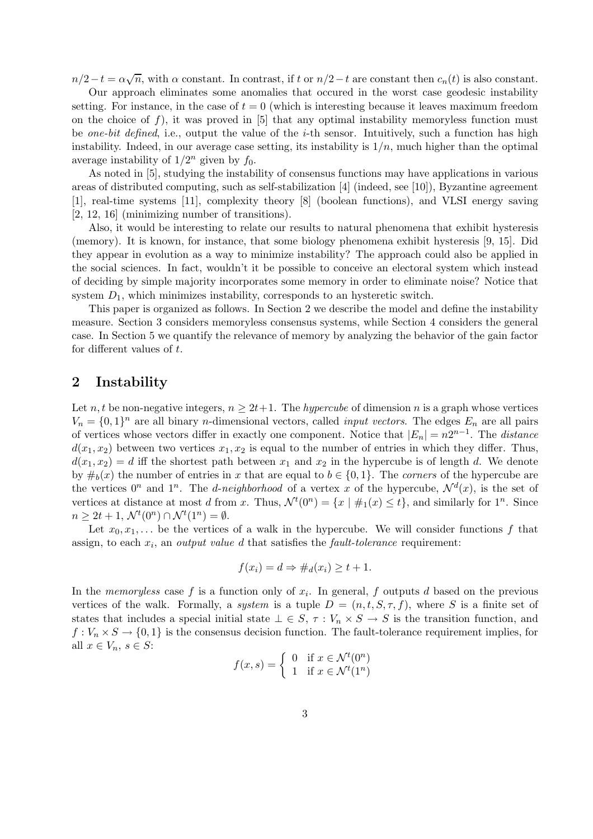$n/2-t = \alpha \sqrt{n}$ , with  $\alpha$  constant. In contrast, if t or  $n/2-t$  are constant then  $c_n(t)$  is also constant.

Our approach eliminates some anomalies that occured in the worst case geodesic instability setting. For instance, in the case of  $t = 0$  (which is interesting because it leaves maximum freedom on the choice of f), it was proved in  $[5]$  that any optimal instability memoryless function must be one-bit defined, i.e., output the value of the *i*-th sensor. Intuitively, such a function has high instability. Indeed, in our average case setting, its instability is  $1/n$ , much higher than the optimal average instability of  $1/2^n$  given by  $f_0$ .

As noted in [5], studying the instability of consensus functions may have applications in various areas of distributed computing, such as self-stabilization [4] (indeed, see [10]), Byzantine agreement [1], real-time systems [11], complexity theory [8] (boolean functions), and VLSI energy saving [2, 12, 16] (minimizing number of transitions).

Also, it would be interesting to relate our results to natural phenomena that exhibit hysteresis (memory). It is known, for instance, that some biology phenomena exhibit hysteresis [9, 15]. Did they appear in evolution as a way to minimize instability? The approach could also be applied in the social sciences. In fact, wouldn't it be possible to conceive an electoral system which instead of deciding by simple majority incorporates some memory in order to eliminate noise? Notice that system  $D_1$ , which minimizes instability, corresponds to an hysteretic switch.

This paper is organized as follows. In Section 2 we describe the model and define the instability measure. Section 3 considers memoryless consensus systems, while Section 4 considers the general case. In Section 5 we quantify the relevance of memory by analyzing the behavior of the gain factor for different values of t.

## 2 Instability

Let n, t be non-negative integers,  $n \geq 2t+1$ . The hypercube of dimension n is a graph whose vertices  $V_n = \{0,1\}^n$  are all binary *n*-dimensional vectors, called *input vectors*. The edges  $E_n$  are all pairs of vertices whose vectors differ in exactly one component. Notice that  $|E_n| = n2^{n-1}$ . The *distance*  $d(x_1, x_2)$  between two vertices  $x_1, x_2$  is equal to the number of entries in which they differ. Thus,  $d(x_1, x_2) = d$  iff the shortest path between  $x_1$  and  $x_2$  in the hypercube is of length d. We denote by  $\#_b(x)$  the number of entries in x that are equal to  $b \in \{0,1\}$ . The corners of the hypercube are the vertices  $0^n$  and  $1^n$ . The *d-neighborhood* of a vertex x of the hypercube,  $\mathcal{N}^d(x)$ , is the set of vertices at distance at most d from x. Thus,  $\mathcal{N}^t(0^n) = \{x \mid \#_1(x) \le t\}$ , and similarly for  $1^n$ . Since  $n \geq 2t + 1, \, \mathcal{N}^t(0^n) \cap \mathcal{N}^t(1^n) = \emptyset.$ 

Let  $x_0, x_1, \ldots$  be the vertices of a walk in the hypercube. We will consider functions f that assign, to each  $x_i$ , an *output value d* that satisfies the *fault-tolerance* requirement:

$$
f(x_i) = d \Rightarrow \#_d(x_i) \ge t + 1.
$$

In the *memoryless* case f is a function only of  $x_i$ . In general, f outputs d based on the previous vertices of the walk. Formally, a system is a tuple  $D = (n, t, S, \tau, f)$ , where S is a finite set of states that includes a special initial state  $\bot \in S$ ,  $\tau : V_n \times S \to S$  is the transition function, and  $f: V_n \times S \to \{0,1\}$  is the consensus decision function. The fault-tolerance requirement implies, for all  $x \in V_n$ ,  $s \in S$ :

$$
f(x,s) = \begin{cases} 0 & \text{if } x \in \mathcal{N}^t(0^n) \\ 1 & \text{if } x \in \mathcal{N}^t(1^n) \end{cases}
$$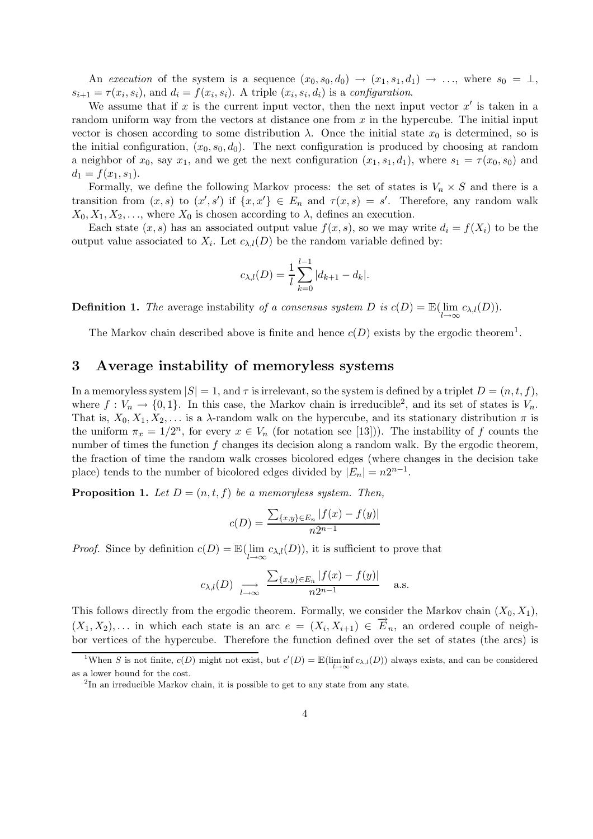An execution of the system is a sequence  $(x_0, s_0, d_0) \rightarrow (x_1, s_1, d_1) \rightarrow \ldots$ , where  $s_0 = \perp$ ,  $s_{i+1} = \tau(x_i, s_i)$ , and  $d_i = f(x_i, s_i)$ . A triple  $(x_i, s_i, d_i)$  is a configuration.

We assume that if x is the current input vector, then the next input vector  $x'$  is taken in a random uniform way from the vectors at distance one from  $x$  in the hypercube. The initial input vector is chosen according to some distribution  $\lambda$ . Once the initial state  $x_0$  is determined, so is the initial configuration,  $(x_0, s_0, d_0)$ . The next configuration is produced by choosing at random a neighbor of  $x_0$ , say  $x_1$ , and we get the next configuration  $(x_1, s_1, d_1)$ , where  $s_1 = \tau(x_0, s_0)$  and  $d_1 = f(x_1, s_1).$ 

Formally, we define the following Markov process: the set of states is  $V_n \times S$  and there is a transition from  $(x, s)$  to  $(x', s')$  if  $\{x, x'\} \in E_n$  and  $\tau(x, s) = s'$ . Therefore, any random walk  $X_0, X_1, X_2, \ldots$ , where  $X_0$  is chosen according to  $\lambda$ , defines an execution.

Each state  $(x, s)$  has an associated output value  $f(x, s)$ , so we may write  $d_i = f(X_i)$  to be the output value associated to  $X_i$ . Let  $c_{\lambda,i}(D)$  be the random variable defined by:

$$
c_{\lambda,l}(D) = \frac{1}{l} \sum_{k=0}^{l-1} |d_{k+1} - d_k|.
$$

**Definition 1.** The average instability of a consensus system D is  $c(D) = \mathbb{E}(\text{lim})$  $\lim_{l\to\infty} c_{\lambda,l}(D)$ ).

The Markov chain described above is finite and hence  $c(D)$  exists by the ergodic theorem<sup>1</sup>.

## 3 Average instability of memoryless systems

In a memoryless system  $|S| = 1$ , and  $\tau$  is irrelevant, so the system is defined by a triplet  $D = (n, t, f)$ , where  $f: V_n \to \{0, 1\}$ . In this case, the Markov chain is irreducible<sup>2</sup>, and its set of states is  $V_n$ . That is,  $X_0, X_1, X_2, \ldots$  is a  $\lambda$ -random walk on the hypercube, and its stationary distribution  $\pi$  is the uniform  $\pi_x = 1/2^n$ , for every  $x \in V_n$  (for notation see [13])). The instability of f counts the number of times the function f changes its decision along a random walk. By the ergodic theorem, the fraction of time the random walk crosses bicolored edges (where changes in the decision take place) tends to the number of bicolored edges divided by  $|E_n| = n2^{n-1}$ .

**Proposition 1.** Let  $D = (n, t, f)$  be a memoryless system. Then,

$$
c(D) = \frac{\sum_{\{x,y\} \in E_n} |f(x) - f(y)|}{n2^{n-1}}
$$

*Proof.* Since by definition  $c(D) = \mathbb{E}(\lim D)$  $\lim_{l\to\infty} c_{\lambda,l}(D)$ , it is sufficient to prove that

$$
c_{\lambda,l}(D) \xrightarrow[l \to \infty]{} \frac{\sum_{\{x,y\} \in E_n} |f(x) - f(y)|}{n2^{n-1}}
$$
 a.s.

This follows directly from the ergodic theorem. Formally, we consider the Markov chain  $(X_0, X_1)$ ,  $(X_1, X_2), \ldots$  in which each state is an arc  $e = (X_i, X_{i+1}) \in \overrightarrow{E}_n$ , an ordered couple of neighbor vertices of the hypercube. Therefore the function defined over the set of states (the arcs) is

<sup>&</sup>lt;sup>1</sup>When S is not finite,  $c(D)$  might not exist, but  $c'(D) = \mathbb{E}(\liminf_{l \to \infty} c_{\lambda,l}(D))$  always exists, and can be considered as a lower bound for the cost.

<sup>&</sup>lt;sup>2</sup>In an irreducible Markov chain, it is possible to get to any state from any state.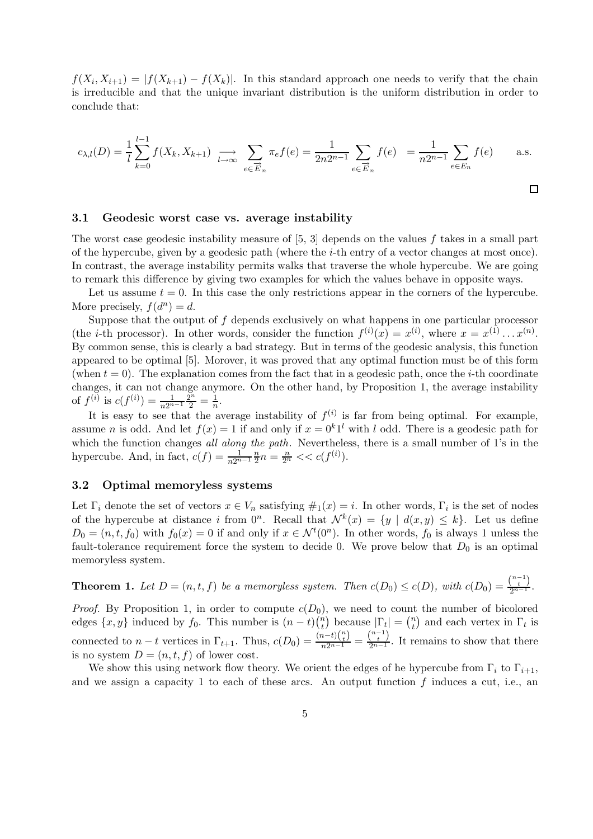$f(X_i, X_{i+1}) = |f(X_{k+1}) - f(X_k)|$ . In this standard approach one needs to verify that the chain is irreducible and that the unique invariant distribution is the uniform distribution in order to conclude that:

$$
c_{\lambda,l}(D) = \frac{1}{l} \sum_{k=0}^{l-1} f(X_k, X_{k+1}) \; \underset{l \to \infty}{\longrightarrow} \; \sum_{e \in \overrightarrow{E}_n} \pi_e f(e) = \frac{1}{2n2^{n-1}} \sum_{e \in \overrightarrow{E}_n} f(e) \; = \frac{1}{n2^{n-1}} \sum_{e \in E_n} f(e) \qquad \text{a.s.}
$$

#### 3.1 Geodesic worst case vs. average instability

The worst case geodesic instability measure of [5, 3] depends on the values f takes in a small part of the hypercube, given by a geodesic path (where the i-th entry of a vector changes at most once). In contrast, the average instability permits walks that traverse the whole hypercube. We are going to remark this difference by giving two examples for which the values behave in opposite ways.

Let us assume  $t = 0$ . In this case the only restrictions appear in the corners of the hypercube. More precisely,  $f(d^n) = d$ .

Suppose that the output of  $f$  depends exclusively on what happens in one particular processor (the *i*-th processor). In other words, consider the function  $f^{(i)}(x) = x^{(i)}$ , where  $x = x^{(1)} \dots x^{(n)}$ . By common sense, this is clearly a bad strategy. But in terms of the geodesic analysis, this function appeared to be optimal [5]. Morover, it was proved that any optimal function must be of this form (when  $t = 0$ ). The explanation comes from the fact that in a geodesic path, once the *i*-th coordinate changes, it can not change anymore. On the other hand, by Proposition 1, the average instability of  $f^{(\overline{i})}$  is  $c(f^{(i)}) = \frac{1}{n2^{n-1}} \frac{2^n}{2} = \frac{1}{n}$ .

It is easy to see that the average instability of  $f^{(i)}$  is far from being optimal. For example, assume *n* is odd. And let  $f(x) = 1$  if and only if  $x = 0<sup>k</sup>1<sup>l</sup>$  with *l* odd. There is a geodesic path for which the function changes all along the path. Nevertheless, there is a small number of 1's in the hypercube. And, in fact,  $c(f) = \frac{1}{n2^{n-1}}\frac{n}{2}$  $\frac{n}{2}n = \frac{n}{2^n} \ll c(f^{(i)}).$ 

### 3.2 Optimal memoryless systems

Let  $\Gamma_i$  denote the set of vectors  $x \in V_n$  satisfying  $\#_1(x) = i$ . In other words,  $\Gamma_i$  is the set of nodes of the hypercube at distance i from  $0^n$ . Recall that  $\mathcal{N}^k(x) = \{y \mid d(x,y) \leq k\}$ . Let us define  $D_0 = (n, t, f_0)$  with  $f_0(x) = 0$  if and only if  $x \in \mathcal{N}^t(0^n)$ . In other words,  $f_0$  is always 1 unless the fault-tolerance requirement force the system to decide 0. We prove below that  $D_0$  is an optimal memoryless system.

**Theorem 1.** Let  $D = (n, t, f)$  be a memoryless system. Then  $c(D_0) \leq c(D)$ , with  $c(D_0) = \frac{\binom{n-1}{t}}{2^{n-1}}$ .

*Proof.* By Proposition 1, in order to compute  $c(D_0)$ , we need to count the number of bicolored edges  $\{x, y\}$  induced by  $f_0$ . This number is  $(n-t) \binom{n}{t}$ <sup>n</sup><sup>t</sup>) because  $|\Gamma_t| = \binom{n}{t}$  $\binom{n}{t}$  and each vertex in  $\Gamma_t$  is connected to  $n-t$  vertices in  $\Gamma_{t+1}$ . Thus,  $c(D_0) = \frac{(n-t)\binom{n}{t}}{n2^{n-1}} = \frac{\binom{n-1}{t}}{2^{n-1}}$ . It remains to show that there is no system  $D = (n, t, f)$  of lower cost.

We show this using network flow theory. We orient the edges of he hypercube from  $\Gamma_i$  to  $\Gamma_{i+1}$ , and we assign a capacity 1 to each of these arcs. An output function  $f$  induces a cut, i.e., an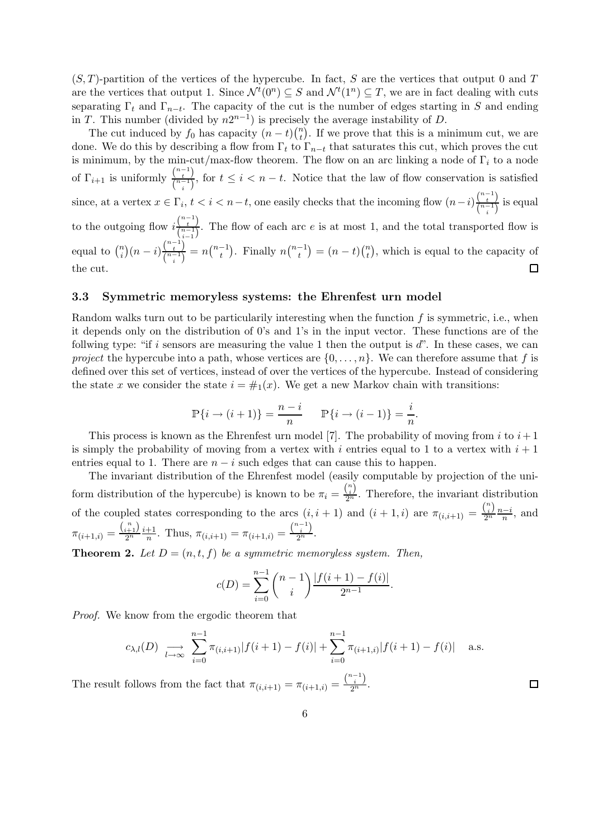$(S, T)$ -partition of the vertices of the hypercube. In fact, S are the vertices that output 0 and T are the vertices that output 1. Since  $\mathcal{N}^t(0^n) \subseteq S$  and  $\mathcal{N}^t(1^n) \subseteq T$ , we are in fact dealing with cuts separating  $\Gamma_t$  and  $\Gamma_{n-t}$ . The capacity of the cut is the number of edges starting in S and ending in T. This number (divided by  $n2^{n-1}$ ) is precisely the average instability of D.

The cut induced by  $f_0$  has capacity  $(n-t)$  $\binom{n}{t}$  $t<sub>t</sub><sup>n</sup>$ ). If we prove that this is a minimum cut, we are done. We do this by describing a flow from  $\Gamma_t$  to  $\Gamma_{n-t}$  that saturates this cut, which proves the cut is minimum, by the min-cut/max-flow theorem. The flow on an arc linking a node of  $\Gamma_i$  to a node of  $\Gamma_{i+1}$  is uniformly  $\frac{\binom{n-1}{t}}{\binom{n-1}{t}}$  $\frac{\binom{t}{n-1}}{\binom{n-1}{i}}$ , for  $t \leq i < n-t$ . Notice that the law of flow conservation is satisfied since, at a vertex  $x \in \Gamma_i$ ,  $t < i < n-t$ , one easily checks that the incoming flow  $(n-i)\frac{\binom{n-1}{t}}{\binom{n-1}{t}}$  $\frac{t}{\binom{n-1}{i}}$  is equal to the outgoing flow  $i\frac{\binom{n-1}{t}}{\binom{n-1}{t}}$  $\frac{\binom{t}{n-1}}{\binom{n-1}{n-1}}$ . The flow of each arc *e* is at most 1, and the total transported flow is i−1  $\binom{n}{i}(n-i)\frac{\binom{n-1}{t}}{\binom{n-1}{t}}$ equal to  $\binom{n}{i}$  $\binom{\binom{n-1}{t}}{\binom{n-1}{t}} = n\binom{n-1}{t}$ . Finally  $n\binom{n-1}{t} = (n-t)\binom{n}{t}$  $\binom{n}{t}$ , which is equal to the capacity of the cut.  $\Box$ 

#### 3.3 Symmetric memoryless systems: the Ehrenfest urn model

Random walks turn out to be particularily interesting when the function  $f$  is symmetric, i.e., when it depends only on the distribution of 0's and 1's in the input vector. These functions are of the follwing type: "if i sensors are measuring the value 1 then the output is  $d$ ". In these cases, we can project the hypercube into a path, whose vertices are  $\{0, \ldots, n\}$ . We can therefore assume that f is defined over this set of vertices, instead of over the vertices of the hypercube. Instead of considering the state x we consider the state  $i = #_1(x)$ . We get a new Markov chain with transitions:

$$
\mathbb{P}\{i \to (i+1)\} = \frac{n-i}{n} \qquad \mathbb{P}\{i \to (i-1)\} = \frac{i}{n}.
$$

This process is known as the Ehrenfest urn model [7]. The probability of moving from i to  $i+1$ is simply the probability of moving from a vertex with i entries equal to 1 to a vertex with  $i + 1$ entries equal to 1. There are  $n - i$  such edges that can cause this to happen.

The invariant distribution of the Ehrenfest model (easily computable by projection of the uniform distribution of the hypercube) is known to be  $\pi_i = \frac{\binom{n}{i}}{2^n}$ . Therefore, the invariant distribution of the coupled states corresponding to the arcs  $(i, i + 1)$  and  $(i + 1, i)$  are  $\pi_{(i,i+1)} = \frac{\binom{n}{i}}{2^n}$  $\frac{i}{2^n} \frac{n-i}{n}$ , and  $\pi_{(i+1,i)} = \frac{\binom{n}{i+1}}{2^n}$  $\frac{i+1}{2^n} \frac{i+1}{n}$  $\frac{+1}{n}$ . Thus,  $\pi_{(i,i+1)} = \pi_{(i+1,i)} = \frac{\binom{n-1}{i}}{2^n}$ .

**Theorem 2.** Let  $D = (n, t, f)$  be a symmetric memoryless system. Then,

$$
c(D) = \sum_{i=0}^{n-1} {n-1 \choose i} \frac{|f(i+1) - f(i)|}{2^{n-1}}.
$$

Proof. We know from the ergodic theorem that

$$
c_{\lambda,l}(D) \underset{l \to \infty}{\longrightarrow} \sum_{i=0}^{n-1} \pi_{(i,i+1)} |f(i+1) - f(i)| + \sum_{i=0}^{n-1} \pi_{(i+1,i)} |f(i+1) - f(i)| \quad \text{a.s.}
$$

The result follows from the fact that  $\pi_{(i,i+1)} = \pi_{(i+1,i)} = \frac{\binom{n-1}{i}}{2^n}$ .

 $\Box$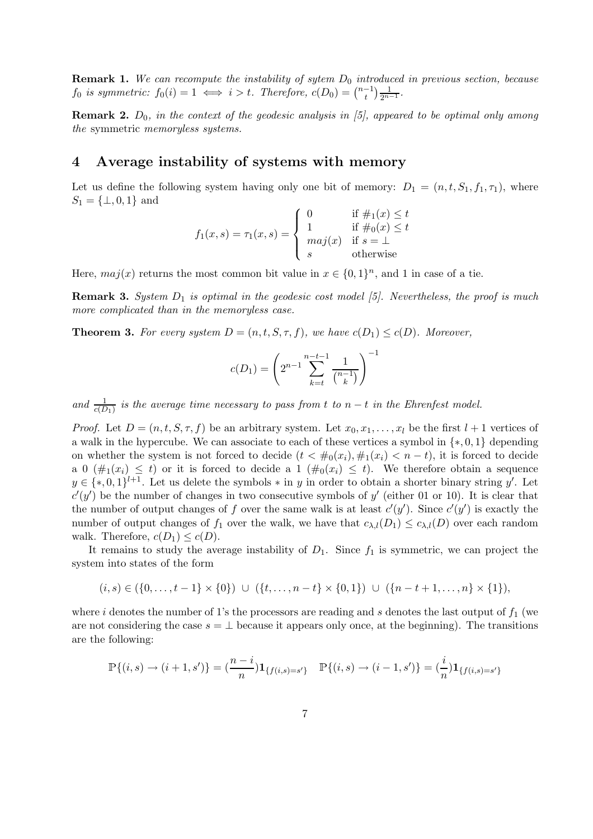**Remark 1.** We can recompute the instability of sytem  $D_0$  introduced in previous section, because  $f_0$  is symmetric:  $f_0(i) = 1 \iff i > t$ . Therefore,  $c(D_0) = \binom{n-1}{t} \frac{1}{2^{n-1}}$ .

**Remark 2.**  $D_0$ , in the context of the geodesic analysis in [5], appeared to be optimal only among the symmetric memoryless systems.

## 4 Average instability of systems with memory

Let us define the following system having only one bit of memory:  $D_1 = (n, t, S_1, f_1, \tau_1)$ , where  $S_1 = \{\perp, 0, 1\}$  and

$$
f_1(x,s) = \tau_1(x,s) = \begin{cases} 0 & \text{if } \#_1(x) \le t \\ 1 & \text{if } \#_0(x) \le t \\ maj(x) & \text{if } s = \bot \\ s & \text{otherwise} \end{cases}
$$

Here,  $maj(x)$  returns the most common bit value in  $x \in \{0,1\}^n$ , and 1 in case of a tie.

**Remark 3.** System  $D_1$  is optimal in the geodesic cost model [5]. Nevertheless, the proof is much more complicated than in the memoryless case.

**Theorem 3.** For every system  $D = (n, t, S, \tau, f)$ , we have  $c(D_1) \leq c(D)$ . Moreover,

$$
c(D_1) = \left(2^{n-1} \sum_{k=t}^{n-t-1} \frac{1}{\binom{n-1}{k}}\right)^{-1}
$$

and  $\frac{1}{c(D_1)}$  is the average time necessary to pass from t to  $n-t$  in the Ehrenfest model.

*Proof.* Let  $D = (n, t, S, \tau, f)$  be an arbitrary system. Let  $x_0, x_1, \ldots, x_l$  be the first  $l + 1$  vertices of a walk in the hypercube. We can associate to each of these vertices a symbol in  $\{*,0,1\}$  depending on whether the system is not forced to decide  $(t < #_0(x_i), #_1(x_i) < n-t)$ , it is forced to decide a 0  $(\#_1(x_i) \leq t)$  or it is forced to decide a 1  $(\#_0(x_i) \leq t)$ . We therefore obtain a sequence  $y \in \{*,0,1\}^{l+1}$ . Let us delete the symbols  $*$  in y in order to obtain a shorter binary string y'. Let  $c'(y')$  be the number of changes in two consecutive symbols of y' (either 01 or 10). It is clear that the number of output changes of f over the same walk is at least  $c'(y')$ . Since  $c'(y')$  is exactly the number of output changes of  $f_1$  over the walk, we have that  $c_{\lambda,l}(D_1) \leq c_{\lambda,l}(D)$  over each random walk. Therefore,  $c(D_1) \leq c(D)$ .

It remains to study the average instability of  $D_1$ . Since  $f_1$  is symmetric, we can project the system into states of the form

$$
(i,s) \in (\{0,\ldots,t-1\} \times \{0\}) \cup (\{t,\ldots,n-t\} \times \{0,1\}) \cup (\{n-t+1,\ldots,n\} \times \{1\}),
$$

where i denotes the number of 1's the processors are reading and s denotes the last output of  $f_1$  (we are not considering the case  $s = \perp$  because it appears only once, at the beginning). The transitions are the following:

$$
\mathbb{P}\{(i,s) \to (i+1,s')\} = \left(\frac{n-i}{n}\right) \mathbf{1}_{\{f(i,s)=s'\}} \quad \mathbb{P}\{(i,s) \to (i-1,s')\} = \left(\frac{i}{n}\right) \mathbf{1}_{\{f(i,s)=s'\}}
$$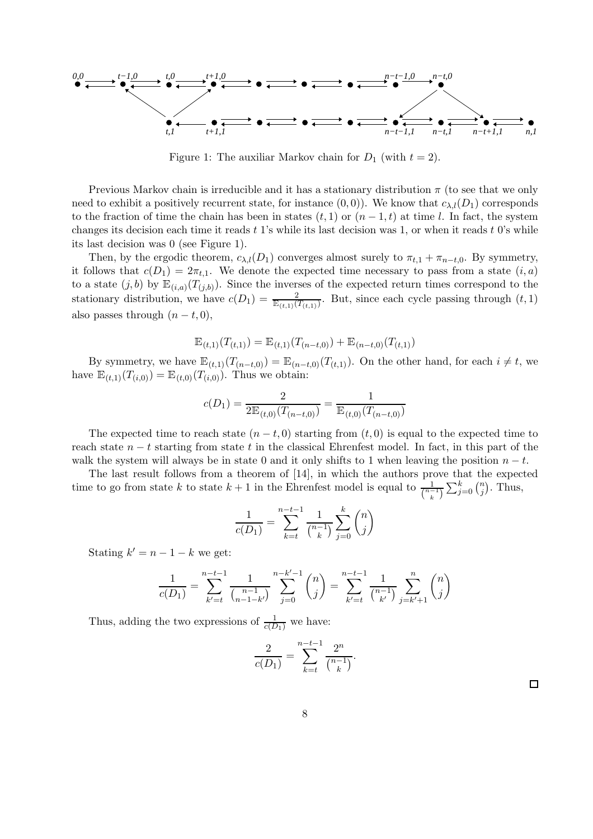*0,0 t,0 t+1,0 t−1,0 n−t−1,0 n−t,0 t,1 t+1,1 n−t−1,1 n−t,1 n−t+1,1 n,1*

Figure 1: The auxiliar Markov chain for  $D_1$  (with  $t = 2$ ).

Previous Markov chain is irreducible and it has a stationary distribution  $\pi$  (to see that we only need to exhibit a positively recurrent state, for instance  $(0,0)$ ). We know that  $c_{\lambda,l}(D_1)$  corresponds to the fraction of time the chain has been in states  $(t, 1)$  or  $(n - 1, t)$  at time l. In fact, the system changes its decision each time it reads  $t$  1's while its last decision was 1, or when it reads  $t$  0's while its last decision was 0 (see Figure 1).

Then, by the ergodic theorem,  $c_{\lambda,l}(D_1)$  converges almost surely to  $\pi_{t,1} + \pi_{n-t,0}$ . By symmetry, it follows that  $c(D_1) = 2\pi_{t,1}$ . We denote the expected time necessary to pass from a state  $(i, a)$ to a state  $(j, b)$  by  $\mathbb{E}_{(i,a)}(T_{(j,b)})$ . Since the inverses of the expected return times correspond to the stationary distribution, we have  $c(D_1) = \frac{2}{\mathbb{E}_{(t,1)}(T_{(t,1)})}$ . But, since each cycle passing through  $(t, 1)$ also passes through  $(n-t, 0)$ ,

$$
\mathbb{E}_{(t,1)}(T_{(t,1)}) = \mathbb{E}_{(t,1)}(T_{(n-t,0)}) + \mathbb{E}_{(n-t,0)}(T_{(t,1)})
$$

By symmetry, we have  $\mathbb{E}_{(t,1)}(T_{(n-t,0)}) = \mathbb{E}_{(n-t,0)}(T_{(t,1)})$ . On the other hand, for each  $i \neq t$ , we have  $\mathbb{E}_{(t,1)}(T_{(i,0)}) = \mathbb{E}_{(t,0)}(T_{(i,0)})$ . Thus we obtain:

$$
c(D_1) = \frac{2}{2\mathbb{E}_{(t,0)}(T_{(n-t,0)})} = \frac{1}{\mathbb{E}_{(t,0)}(T_{(n-t,0)})}
$$

The expected time to reach state  $(n - t, 0)$  starting from  $(t, 0)$  is equal to the expected time to reach state  $n - t$  starting from state t in the classical Ehrenfest model. In fact, in this part of the walk the system will always be in state 0 and it only shifts to 1 when leaving the position  $n - t$ .

The last result follows from a theorem of [14], in which the authors prove that the expected time to go from state k to state  $k+1$  in the Ehrenfest model is equal to  $\frac{1}{\binom{n-1}{k}}\sum_{j=0}^{k}\binom{n}{j}$  $\binom{n}{j}$ . Thus,

$$
\frac{1}{c(D_1)} = \sum_{k=t}^{n-t-1} \frac{1}{\binom{n-1}{k}} \sum_{j=0}^{k} \binom{n}{j}
$$

Stating  $k' = n - 1 - k$  we get:

$$
\frac{1}{c(D_1)} = \sum_{k'=t}^{n-t-1} \frac{1}{\binom{n-1}{n-1-k'}} \sum_{j=0}^{n-k'-1} \binom{n}{j} = \sum_{k'=t}^{n-t-1} \frac{1}{\binom{n-1}{k'}} \sum_{j=k'+1}^{n} \binom{n}{j}
$$

Thus, adding the two expressions of  $\frac{1}{c(D_1)}$  we have:

$$
\frac{2}{c(D_1)} = \sum_{k=t}^{n-t-1} \frac{2^n}{\binom{n-1}{k}}.
$$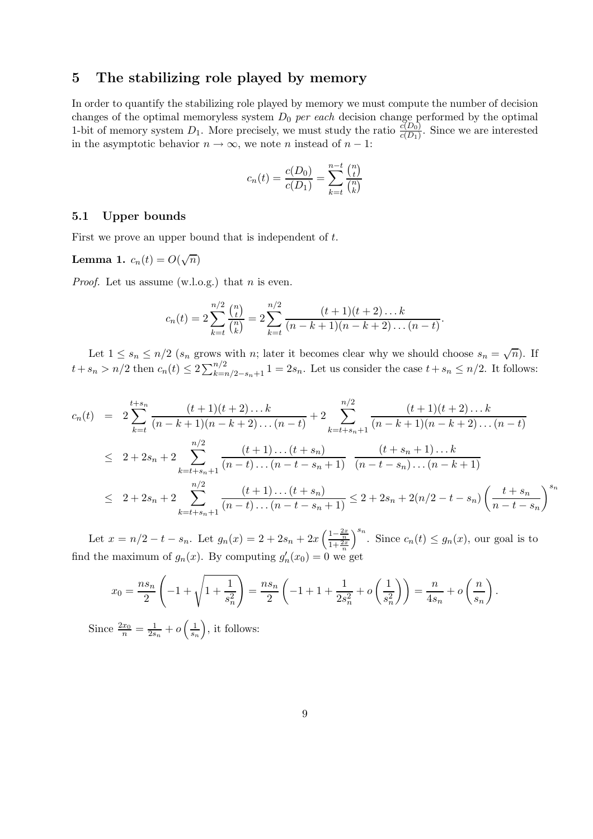## 5 The stabilizing role played by memory

In order to quantify the stabilizing role played by memory we must compute the number of decision changes of the optimal memoryless system  $D_0$  *per each* decision change performed by the optimal 1-bit of memory system  $D_1$ . More precisely, we must study the ratio  $\frac{c(D_0)}{c(D_1)}$ . Since we are interested in the asymptotic behavior  $n \to \infty$ , we note n instead of  $n - 1$ :

$$
c_n(t) = \frac{c(D_0)}{c(D_1)} = \sum_{k=t}^{n-t} \frac{\binom{n}{t}}{\binom{n}{k}}
$$

#### 5.1 Upper bounds

First we prove an upper bound that is independent of t.

Lemma 1.  $c_n(t) = O(\sqrt{n})$ 

*Proof.* Let us assume  $(w.l.o.g.)$  that *n* is even.

$$
c_n(t) = 2\sum_{k=t}^{n/2} \frac{\binom{n}{t}}{\binom{n}{k}} = 2\sum_{k=t}^{n/2} \frac{(t+1)(t+2)\dots k}{(n-k+1)(n-k+2)\dots(n-t)}.
$$

Let  $1 \leq s_n \leq n/2$  ( $s_n$  grows with n; later it becomes clear why we should choose  $s_n = \sqrt{n}$ ). If  $t+s_n > n/2$  then  $c_n(t) \leq 2\sum_{k=n/2-s_n+1}^{n/2} 1 = 2s_n$ . Let us consider the case  $t+s_n \leq n/2$ . It follows:

$$
c_n(t) = 2 \sum_{k=t}^{t+s_n} \frac{(t+1)(t+2)\dots k}{(n-k+1)(n-k+2)\dots(n-t)} + 2 \sum_{k=t+s_n+1}^{n/2} \frac{(t+1)(t+2)\dots k}{(n-k+1)(n-k+2)\dots(n-t)}
$$
  

$$
\leq 2 + 2s_n + 2 \sum_{k=t+s_n+1}^{n/2} \frac{(t+1)\dots(t+s_n)}{(n-t)\dots(n-t-s_n+1)} \frac{(t+s_n+1)\dots k}{(n-t-s_n)\dots(n-k+1)}
$$
  

$$
\leq 2 + 2s_n + 2 \sum_{k=t+s_n+1}^{n/2} \frac{(t+1)\dots(t+s_n)}{(n-t)\dots(n-t-s_n+1)} \leq 2 + 2s_n + 2(n/2 - t - s_n) \left(\frac{t+s_n}{n-t-s_n}\right)^{s_n}
$$

Let  $x = n/2 - t - s_n$ . Let  $g_n(x) = 2 + 2s_n + 2x \left( \frac{1 - \frac{2x}{n}}{1 + \frac{2x}{n}} \right)$ find the maximum of  $g_n(x)$ . By computing  $g'_n(x_0) = 0$  we get  $\int^{s_n}$ . Since  $c_n(t) \leq g_n(x)$ , our goal is to

$$
x_0 = \frac{ns_n}{2} \left( -1 + \sqrt{1 + \frac{1}{s_n^2}} \right) = \frac{ns_n}{2} \left( -1 + 1 + \frac{1}{2s_n^2} + o\left(\frac{1}{s_n^2}\right) \right) = \frac{n}{4s_n} + o\left(\frac{n}{s_n}\right).
$$

Since  $\frac{2x_0}{n} = \frac{1}{2s}$  $\frac{1}{2s_n}+o\left(\frac{1}{s_n}\right)$  $\left(\frac{1}{s_n}\right)$ , it follows: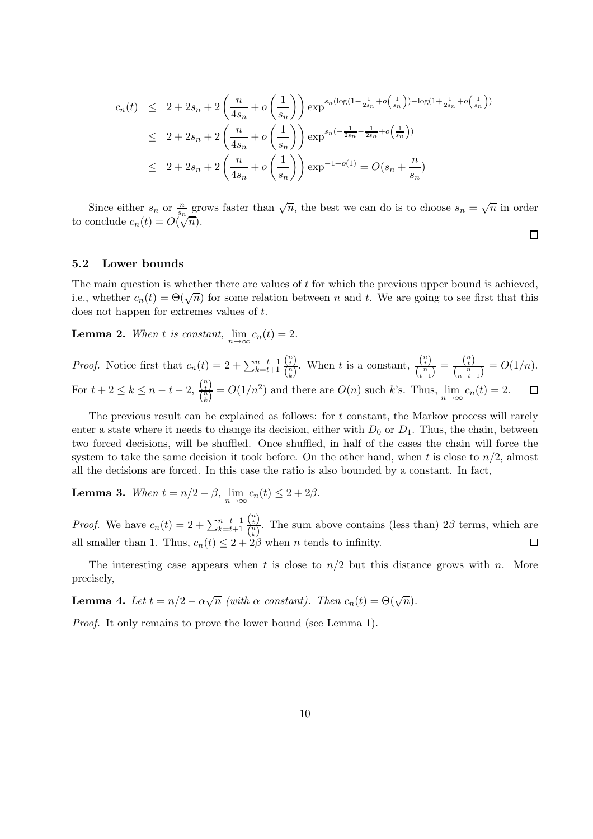$$
c_n(t) \le 2 + 2s_n + 2\left(\frac{n}{4s_n} + o\left(\frac{1}{s_n}\right)\right) \exp^{s_n(\log(1 - \frac{1}{2s_n} + o\left(\frac{1}{s_n}\right)) - \log(1 + \frac{1}{2s_n} + o\left(\frac{1}{s_n}\right))}
$$
  

$$
\le 2 + 2s_n + 2\left(\frac{n}{4s_n} + o\left(\frac{1}{s_n}\right)\right) \exp^{s_n\left(-\frac{1}{2s_n} - \frac{1}{2s_n} + o\left(\frac{1}{s_n}\right)\right)}
$$
  

$$
\le 2 + 2s_n + 2\left(\frac{n}{4s_n} + o\left(\frac{1}{s_n}\right)\right) \exp^{-1+o(1)} = O(s_n + \frac{n}{s_n})
$$

Since either  $s_n$  or  $\frac{n}{s_n}$  grows faster than  $\sqrt{n}$ , the best we can do is to choose  $s_n = \sqrt{n}$  in order to conclude  $c_n(t) = O(\sqrt[n]{n}).$ 

 $\Box$ 

#### 5.2 Lower bounds

The main question is whether there are values of t for which the previous upper bound is achieved. i.e., whether  $c_n(t) = \Theta(\sqrt{n})$  for some relation between n and t. We are going to see first that this does not happen for extremes values of t.

**Lemma 2.** When t is constant,  $\lim_{n \to \infty} c_n(t) = 2$ .

 $\frac{\binom{n}{t}}{\binom{n}{k}}$ . When t is a constant,  $\frac{\binom{n}{t}}{\binom{n}{t+1}}$  $\binom{n}{t}$  $\frac{\binom{n}{t}}{\binom{n}{t+1}} = \frac{\binom{n}{t}}{\binom{n}{n-t-1}}$ *Proof.* Notice first that  $c_n(t) = 2 + \sum_{k=t+1}^{n-t-1}$  $\frac{t}{\binom{n}{n-t-1}} = O(1/n).$ For  $t + 2 \leq k \leq n - t - 2$ ,  $\frac{\binom{n}{t}}{\binom{n}{k}}$  $\frac{\binom{t}{t}}{\binom{n}{k}} = O(1/n^2)$  and there are  $O(n)$  such k's. Thus,  $\lim_{n \to \infty} c_n(t) = 2$ .  $\Box$ 

The previous result can be explained as follows: for t constant, the Markov process will rarely enter a state where it needs to change its decision, either with  $D_0$  or  $D_1$ . Thus, the chain, between two forced decisions, will be shuffled. Once shuffled, in half of the cases the chain will force the system to take the same decision it took before. On the other hand, when t is close to  $n/2$ , almost all the decisions are forced. In this case the ratio is also bounded by a constant. In fact,

**Lemma 3.** When  $t = n/2 - \beta$ ,  $\lim_{n \to \infty} c_n(t) \leq 2 + 2\beta$ .

 $\binom{n}{t}$ *Proof.* We have  $c_n(t) = 2 + \sum_{k=t+1}^{n-t-1}$  $\frac{\lambda t}{\binom{n}{k}}$ . The sum above contains (less than)  $2\beta$  terms, which are all smaller than 1. Thus,  $c_n(t) \leq 2 + 2\beta$  when n tends to infinity.  $\Box$ 

The interesting case appears when t is close to  $n/2$  but this distance grows with n. More precisely,

**Lemma 4.** Let  $t = n/2 - \alpha \sqrt{n}$  (with  $\alpha$  constant). Then  $c_n(t) = \Theta(\sqrt{n})$ .

Proof. It only remains to prove the lower bound (see Lemma 1).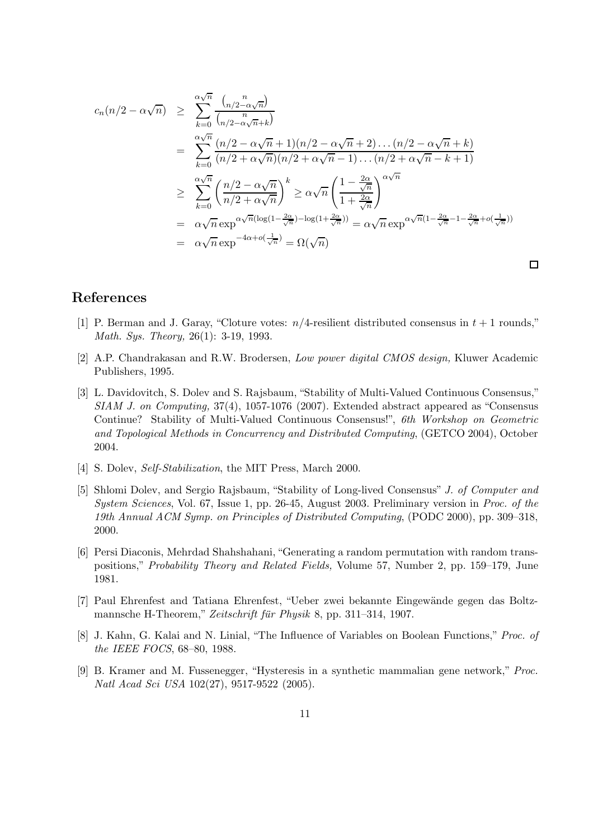$$
c_n(n/2 - \alpha\sqrt{n}) \geq \sum_{k=0}^{\infty} \frac{\binom{n}{n/2 - \alpha\sqrt{n}}}{\binom{n}{n/2 - \alpha\sqrt{n} + k}}
$$
  
\n
$$
= \sum_{k=0}^{\infty} \frac{(n/2 - \alpha\sqrt{n} + 1)(n/2 - \alpha\sqrt{n} + 2) \dots (n/2 - \alpha\sqrt{n} + k)}{(n/2 + \alpha\sqrt{n})(n/2 + \alpha\sqrt{n} - 1) \dots (n/2 + \alpha\sqrt{n} - k + 1)}
$$
  
\n
$$
\geq \sum_{k=0}^{\infty} \frac{\binom{n}{2} - \alpha\sqrt{n}}{n/2 + \alpha\sqrt{n}} \geq \alpha\sqrt{n} \left( \frac{1 - \frac{2\alpha}{\sqrt{n}}}{1 + \frac{2\alpha}{\sqrt{n}}} \right)^{\alpha\sqrt{n}}
$$
  
\n
$$
= \alpha\sqrt{n} \exp^{\alpha\sqrt{n}(\log(1 - \frac{2\alpha}{\sqrt{n}}) - \log(1 + \frac{2\alpha}{\sqrt{n}}))} = \alpha\sqrt{n} \exp^{\alpha\sqrt{n}(1 - \frac{2\alpha}{\sqrt{n}} - 1 - \frac{2\alpha}{\sqrt{n}} + o(\frac{1}{\sqrt{n}}))}
$$
  
\n
$$
= \alpha\sqrt{n} \exp^{-4\alpha + o(\frac{1}{\sqrt{n}})} = \Omega(\sqrt{n})
$$

## References

[1] P. Berman and J. Garay, "Cloture votes:  $n/4$ -resilient distributed consensus in  $t + 1$  rounds," Math. Sys. Theory, 26(1): 3-19, 1993.

 $\Box$ 

- [2] A.P. Chandrakasan and R.W. Brodersen, Low power digital CMOS design, Kluwer Academic Publishers, 1995.
- [3] L. Davidovitch, S. Dolev and S. Rajsbaum, "Stability of Multi-Valued Continuous Consensus," SIAM J. on Computing, 37(4), 1057-1076 (2007). Extended abstract appeared as "Consensus Continue? Stability of Multi-Valued Continuous Consensus!", 6th Workshop on Geometric and Topological Methods in Concurrency and Distributed Computing, (GETCO 2004), October 2004.
- [4] S. Dolev, *Self-Stabilization*, the MIT Press, March 2000.
- [5] Shlomi Dolev, and Sergio Rajsbaum, "Stability of Long-lived Consensus" J. of Computer and System Sciences, Vol. 67, Issue 1, pp. 26-45, August 2003. Preliminary version in Proc. of the 19th Annual ACM Symp. on Principles of Distributed Computing, (PODC 2000), pp. 309–318, 2000.
- [6] Persi Diaconis, Mehrdad Shahshahani, "Generating a random permutation with random transpositions," Probability Theory and Related Fields, Volume 57, Number 2, pp. 159–179, June 1981.
- [7] Paul Ehrenfest and Tatiana Ehrenfest, "Ueber zwei bekannte Eingew¨ande gegen das Boltzmannsche H-Theorem," Zeitschrift für Physik 8, pp. 311–314, 1907.
- [8] J. Kahn, G. Kalai and N. Linial, "The Influence of Variables on Boolean Functions," Proc. of the IEEE FOCS, 68–80, 1988.
- [9] B. Kramer and M. Fussenegger, "Hysteresis in a synthetic mammalian gene network," Proc. Natl Acad Sci USA 102(27), 9517-9522 (2005).